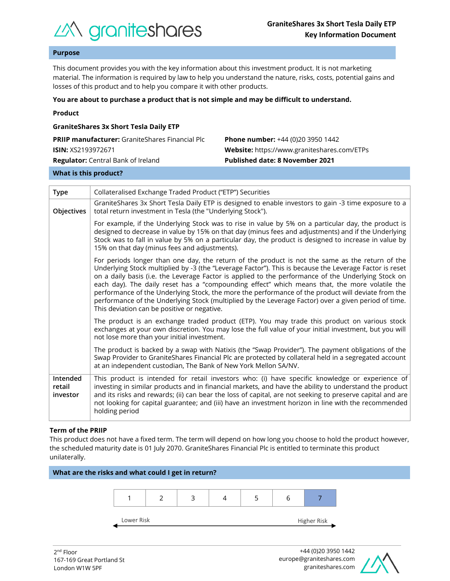

## **Purpose**

This document provides you with the key information about this investment product. It is not marketing material. The information is required by law to help you understand the nature, risks, costs, potential gains and losses of this product and to help you compare it with other products.

#### **You are about to purchase a product that is not simple and may be difficult to understand.**

|  | Product |  |
|--|---------|--|
|  |         |  |

| <b>GraniteShares 3x Short Tesla Daily ETP</b>          |                                             |  |  |  |  |
|--------------------------------------------------------|---------------------------------------------|--|--|--|--|
| <b>PRIIP manufacturer:</b> GraniteShares Financial Plc | <b>Phone number:</b> +44 (0)20 3950 1442    |  |  |  |  |
| <b>ISIN:</b> XS2193972671                              | Website: https://www.graniteshares.com/ETPs |  |  |  |  |
| <b>Regulator:</b> Central Bank of Ireland              | <b>Published date: 8 November 2021</b>      |  |  |  |  |
|                                                        |                                             |  |  |  |  |

## **What is this product?**

| <b>Type</b>                    | Collateralised Exchange Traded Product ("ETP") Securities                                                                                                                                                                                                                                                                                                                                                                                                                                                                                                                                                                                                                       |  |  |  |
|--------------------------------|---------------------------------------------------------------------------------------------------------------------------------------------------------------------------------------------------------------------------------------------------------------------------------------------------------------------------------------------------------------------------------------------------------------------------------------------------------------------------------------------------------------------------------------------------------------------------------------------------------------------------------------------------------------------------------|--|--|--|
| Objectives                     | GraniteShares 3x Short Tesla Daily ETP is designed to enable investors to gain -3 time exposure to a<br>total return investment in Tesla (the "Underlying Stock").                                                                                                                                                                                                                                                                                                                                                                                                                                                                                                              |  |  |  |
|                                | For example, if the Underlying Stock was to rise in value by 5% on a particular day, the product is<br>designed to decrease in value by 15% on that day (minus fees and adjustments) and if the Underlying<br>Stock was to fall in value by 5% on a particular day, the product is designed to increase in value by<br>15% on that day (minus fees and adjustments).                                                                                                                                                                                                                                                                                                            |  |  |  |
|                                | For periods longer than one day, the return of the product is not the same as the return of the<br>Underlying Stock multiplied by -3 (the "Leverage Factor"). This is because the Leverage Factor is reset<br>on a daily basis (i.e. the Leverage Factor is applied to the performance of the Underlying Stock on<br>each day). The daily reset has a "compounding effect" which means that, the more volatile the<br>performance of the Underlying Stock, the more the performance of the product will deviate from the<br>performance of the Underlying Stock (multiplied by the Leverage Factor) over a given period of time.<br>This deviation can be positive or negative. |  |  |  |
|                                | The product is an exchange traded product (ETP). You may trade this product on various stock<br>exchanges at your own discretion. You may lose the full value of your initial investment, but you will<br>not lose more than your initial investment.                                                                                                                                                                                                                                                                                                                                                                                                                           |  |  |  |
|                                | The product is backed by a swap with Natixis (the "Swap Provider"). The payment obligations of the<br>Swap Provider to GraniteShares Financial Plc are protected by collateral held in a segregated account<br>at an independent custodian, The Bank of New York Mellon SA/NV.                                                                                                                                                                                                                                                                                                                                                                                                  |  |  |  |
| Intended<br>retail<br>investor | This product is intended for retail investors who: (i) have specific knowledge or experience of<br>investing in similar products and in financial markets, and have the ability to understand the product<br>and its risks and rewards; (ii) can bear the loss of capital, are not seeking to preserve capital and are<br>not looking for capital guarantee; and (iii) have an investment horizon in line with the recommended<br>holding period                                                                                                                                                                                                                                |  |  |  |

#### **Term of the PRIIP**

This product does not have a fixed term. The term will depend on how long you choose to hold the product however, the scheduled maturity date is 01 July 2070. GraniteShares Financial Plc is entitled to terminate this product unilaterally.



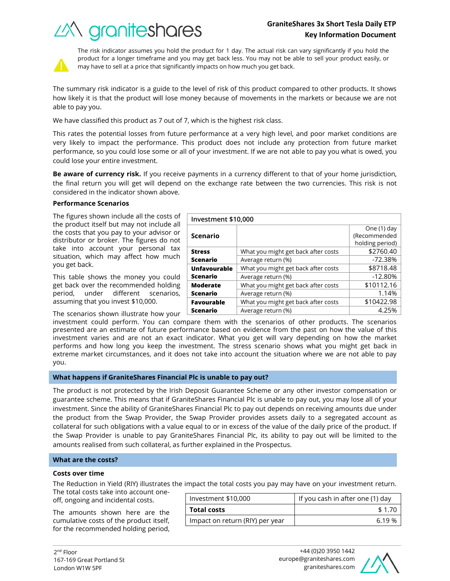# **GraniteShares 3x Short Tesla Daily ETP Key Information Document**

What you might get back after costs  $\sim$  \$2760.40 Average return (%) and the set of the set of the set of the set of the set of the set of the set of the set of the set of the set of the set of the set of the set of the set of the set of the set of the set of the set of t

What you might get back after costs | \$8718.48 Average return (%) and the set of the set of the set of the set of the set of the set of the set of the set of the set of the set of the set of the set of the set of the set of the set of the set of the set of the set of t

What you might get back after costs  $\vert$  \$10112.16 Average return (%) and the set of the 1.14%





The risk indicator assumes you hold the product for 1 day. The actual risk can vary significantly if you hold the product for a longer timeframe and you may get back less. You may not be able to sell your product easily, or may have to sell at a price that significantly impacts on how much you get back.

The summary risk indicator is a guide to the level of risk of this product compared to other products. It shows how likely it is that the product will lose money because of movements in the markets or because we are not able to pay you.

We have classified this product as 7 out of 7, which is the highest risk class.

This rates the potential losses from future performance at a very high level, and poor market conditions are very likely to impact the performance. This product does not include any protection from future market performance, so you could lose some or all of your investment. If we are not able to pay you what is owed, you could lose your entire investment.

**Be aware of currency risk.** If you receive payments in a currency different to that of your home jurisdiction, the final return you will get will depend on the exchange rate between the two currencies. This risk is not considered in the indicator shown above.

**Investment \$10,000**

**Scenario**

**Unfavourable Scenario**

**Moderate Scenario**

**Favourable** 

**Stress Scenario**

## **Performance Scenarios**

The figures shown include all the costs of the product itself but may not include all the costs that you pay to your advisor or distributor or broker. The figures do not take into account your personal tax situation, which may affect how much you get back.

This table shows the money you could get back over the recommended holding period, under different scenarios, assuming that you invest \$10,000.

The scenarios shown illustrate how your

investment could perform. You can compare them with the scenarios of other products. The scenarios presented are an estimate of future performance based on evidence from the past on how the value of this investment varies and are not an exact indicator. What you get will vary depending on how the market performs and how long you keep the investment. The stress scenario shows what you might get back in extreme market circumstances, and it does not take into account the situation where we are not able to pay you. **Scenario** What you might get back after costs  $\vert$  \$10422.98 Average return (%) and the set of the 4.25%

## **What happens if GraniteShares Financial Plc is unable to pay out?**

The product is not protected by the Irish Deposit Guarantee Scheme or any other investor compensation or guarantee scheme. This means that if GraniteShares Financial Plc is unable to pay out, you may lose all of your investment. Since the ability of GraniteShares Financial Plc to pay out depends on receiving amounts due under the product from the Swap Provider, the Swap Provider provides assets daily to a segregated account as collateral for such obligations with a value equal to or in excess of the value of the daily price of the product. If the Swap Provider is unable to pay GraniteShares Financial Plc, its ability to pay out will be limited to the amounts realised from such collateral, as further explained in the Prospectus.

## **What are the costs?**

#### **Costs over time**

The Reduction in Yield (RIY) illustrates the impact the total costs you pay may have on your investment return.

The total costs take into account oneoff, ongoing and incidental costs.

The amounts shown here are the cumulative costs of the product itself, for the recommended holding period,

| Investment \$10,000             | If you cash in after one (1) day |  |
|---------------------------------|----------------------------------|--|
| <b>Total costs</b>              | \$1.70                           |  |
| Impact on return (RIY) per year | 6 19 %                           |  |



One (1) day (Recommended holding period)